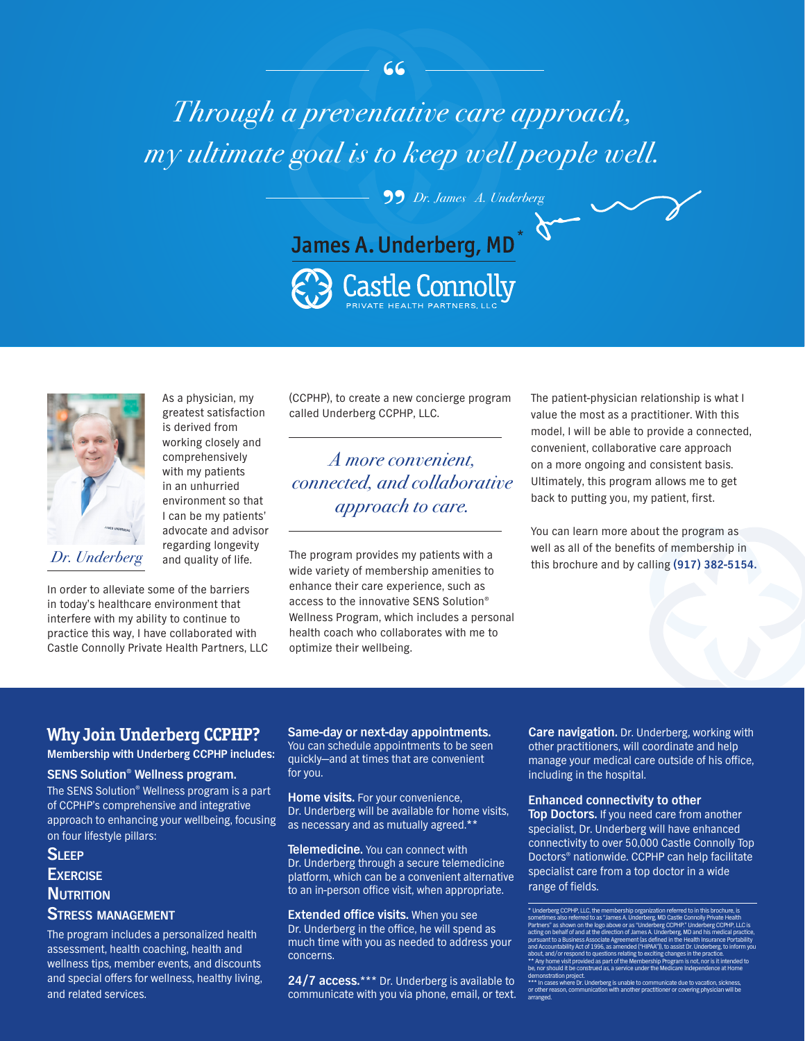# $\frac{66}{10}$ " *Dr. James A. UnderbergThrough a preventative care approach, my ultimate goal is to keep well people well.*





As a physician, my greatest satisfaction is derived from working closely and comprehensively with my patients in an unhurried environment so that I can be my patients' advocate and advisor regarding longevity and quality of life.

In order to alleviate some of the barriers in today's healthcare environment that interfere with my ability to continue to practice this way, I have collaborated with Castle Connolly Private Health Partners, LLC (CCPHP), to create a new concierge program called Underberg CCPHP, LLC.

*A more convenient, connected, and collaborative approach to care.*

The program provides my patients with a wide variety of membership amenities to enhance their care experience, such as access to the innovative SENS Solution® Wellness Program, which includes a personal health coach who collaborates with me to optimize their wellbeing. Dr. Underberg and quality of life. The program provides my patients with a this brochure and by calling (917) 382-5154.

The patient-physician relationship is what I value the most as a practitioner. With this model, I will be able to provide a connected, convenient, collaborative care approach on a more ongoing and consistent basis. Ultimately, this program allows me to get back to putting you, my patient, first.

You can learn more about the program as well as all of the benefits of membership in

### **Why Join Underberg CCPHP?**

**Membership with Underberg CCPHP includes:**

#### **SENS Solution® Wellness program.**

The SENS Solution® Wellness program is a part of CCPHP's comprehensive and integrative approach to enhancing your wellbeing, focusing on four lifestyle pillars:

### **Sleep Exercise NUTRITION Stress management**

The program includes a personalized health assessment, health coaching, health and wellness tips, member events, and discounts and special offers for wellness, healthy living, and related services.

**Same-day or next-day appointments.** You can schedule appointments to be seen quickly—and at times that are convenient for you.

**Home visits.** For your convenience, Dr. Underberg will be available for home visits, as necessary and as mutually agreed.\*\*

**Telemedicine.** You can connect with Dr. Underberg through a secure telemedicine platform, which can be a convenient alternative to an in-person office visit, when appropriate.

**Extended office visits.** When you see Dr. Underberg in the office, he will spend as much time with you as needed to address your concerns.

**24/7 access.**\*\*\* Dr. Underberg is available to communicate with you via phone, email, or text. **Care navigation.** Dr. Underberg, working with other practitioners, will coordinate and help manage your medical care outside of his office, including in the hospital.

#### **Enhanced connectivity to other**

**Top Doctors.** If you need care from another specialist, Dr. Underberg will have enhanced connectivity to over 50,000 Castle Connolly Top Doctors® nationwide. CCPHP can help facilitate specialist care from a top doctor in a wide range of fields.

<sup>\*</sup> Underberg CCPHP, LLC, the membership organization referred to in this brochure, is sometimes also referred to as "James A. Underberg, MD Castle Connolly Private Health Partners" as shown on the logo above or as "Underberg CCPHP." Underberg CCPHP, LLC is acting on behalf of and at the direction of James A. Underberg, MD and his medical practice, pursuant to a Business Associate Agreement (as defined in the Health Insurance Portability and Act of 1996, as a about, and/or respond to questions relating to exciting changes in the practice.<br>\*\* Any home visit provided as part of the Membership Program is not, nor is it intended to<br>be, nor should it be construed as, a service under demonstration project. \*\*\* In cases where Dr. Underberg is unable to communicate due to vacation, sickness,

or other reason, communication with another practitioner or covering physician will be arranged.